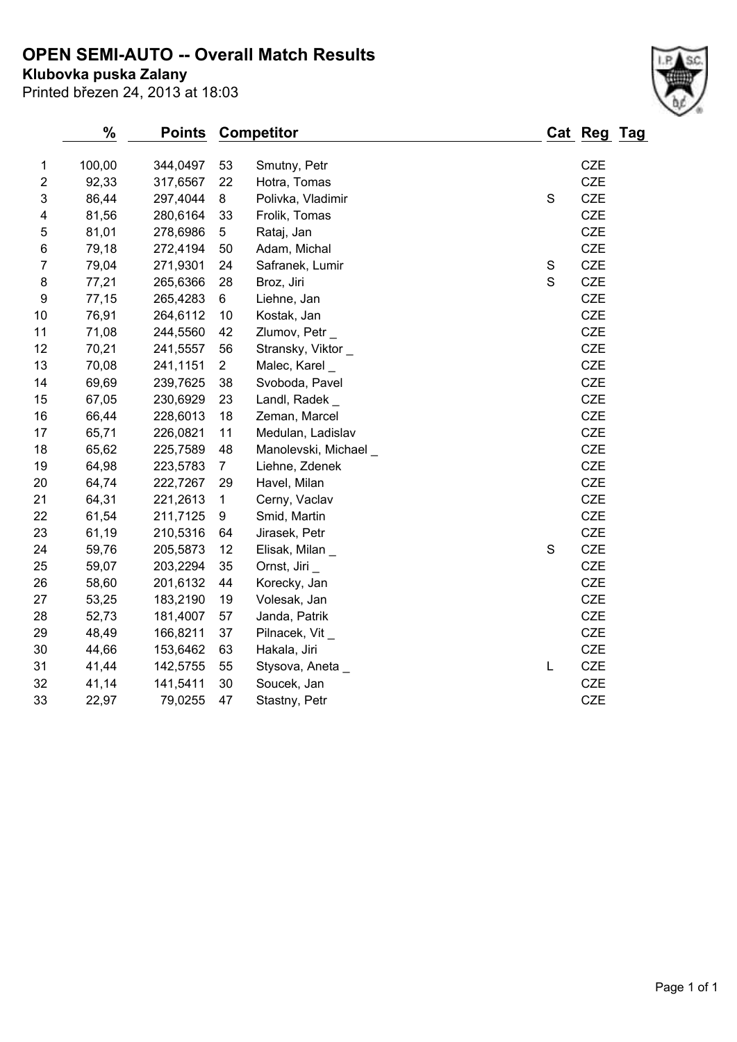## **OPEN SEMI-AUTO -- Overall Match Results**

**Klubovka puska Zalany**

Printed březen 24, 2013 at 18:03

|                         | %      | <b>Points</b> |                | <b>Competitor</b>     |             | Cat Reg Tag |  |
|-------------------------|--------|---------------|----------------|-----------------------|-------------|-------------|--|
| 1                       | 100,00 | 344,0497      | 53             | Smutny, Petr          |             | CZE         |  |
| $\overline{\mathbf{c}}$ | 92,33  | 317,6567      | 22             | Hotra, Tomas          |             | <b>CZE</b>  |  |
| 3                       | 86,44  | 297,4044      | $\bf 8$        | Polivka, Vladimir     | $\mathbf S$ | <b>CZE</b>  |  |
| 4                       | 81,56  | 280,6164      | 33             | Frolik, Tomas         |             | <b>CZE</b>  |  |
| 5                       | 81,01  | 278,6986      | 5              | Rataj, Jan            |             | CZE         |  |
| 6                       | 79,18  | 272,4194      | 50             | Adam, Michal          |             | <b>CZE</b>  |  |
| $\overline{7}$          | 79,04  | 271,9301      | 24             | Safranek, Lumir       | $\mathbf S$ | CZE         |  |
| 8                       | 77,21  | 265,6366      | 28             | Broz, Jiri            | S           | <b>CZE</b>  |  |
| 9                       | 77,15  | 265,4283      | 6              | Liehne, Jan           |             | CZE         |  |
| 10                      | 76,91  | 264,6112      | 10             | Kostak, Jan           |             | <b>CZE</b>  |  |
| 11                      | 71,08  | 244,5560      | 42             | Zlumov, Petr_         |             | <b>CZE</b>  |  |
| 12                      | 70,21  | 241,5557      | 56             | Stransky, Viktor      |             | CZE         |  |
| 13                      | 70,08  | 241,1151      | $\overline{2}$ | Malec, Karel          |             | CZE         |  |
| 14                      | 69,69  | 239,7625      | 38             | Svoboda, Pavel        |             | CZE         |  |
| 15                      | 67,05  | 230,6929      | 23             | Landl, Radek _        |             | <b>CZE</b>  |  |
| 16                      | 66,44  | 228,6013      | 18             | Zeman, Marcel         |             | CZE         |  |
| 17                      | 65,71  | 226,0821      | 11             | Medulan, Ladislav     |             | <b>CZE</b>  |  |
| 18                      | 65,62  | 225,7589      | 48             | Manolevski, Michael _ |             | CZE         |  |
| 19                      | 64,98  | 223,5783      | $\overline{7}$ | Liehne, Zdenek        |             | CZE         |  |
| 20                      | 64,74  | 222,7267      | 29             | Havel, Milan          |             | CZE         |  |
| 21                      | 64,31  | 221,2613      | 1              | Cerny, Vaclav         |             | CZE         |  |
| 22                      | 61,54  | 211,7125      | 9              | Smid, Martin          |             | <b>CZE</b>  |  |
| 23                      | 61,19  | 210,5316      | 64             | Jirasek, Petr         |             | CZE         |  |
| 24                      | 59,76  | 205,5873      | 12             | Elisak, Milan _       | $\mathbf S$ | <b>CZE</b>  |  |
| 25                      | 59,07  | 203,2294      | 35             | Ornst, Jiri           |             | CZE         |  |
| 26                      | 58,60  | 201,6132      | 44             | Korecky, Jan          |             | CZE         |  |
| 27                      | 53,25  | 183,2190      | 19             | Volesak, Jan          |             | CZE         |  |
| 28                      | 52,73  | 181,4007      | 57             | Janda, Patrik         |             | <b>CZE</b>  |  |
| 29                      | 48,49  | 166,8211      | 37             | Pilnacek, Vit_        |             | <b>CZE</b>  |  |
| 30                      | 44,66  | 153,6462      | 63             | Hakala, Jiri          |             | CZE         |  |
| 31                      | 41,44  | 142,5755      | 55             | Stysova, Aneta        | L           | CZE         |  |

 41,14 141,5411 30 Soucek, Jan CZE 22,97 79,0255 47 Stastny, Petr CZE